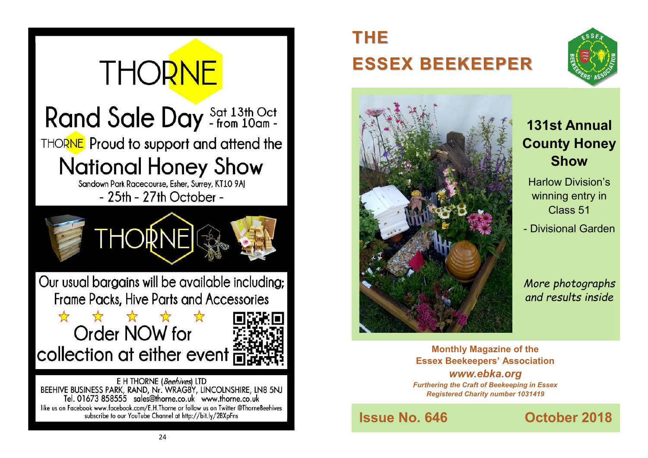

# **THE ESSEX BEEKEEPER**





## **131st Annual County Honey Show**

Harlow Division's winning entry in Class 51 - Divisional Garden

*More photographs and results inside*

**Monthly Magazine of the Essex Beekeepers' Association** *www.ebka.org Furthering the Craft of Beekeeping in Essex Registered Charity number 1031419*

**Issue No. 646 Contract October 2018**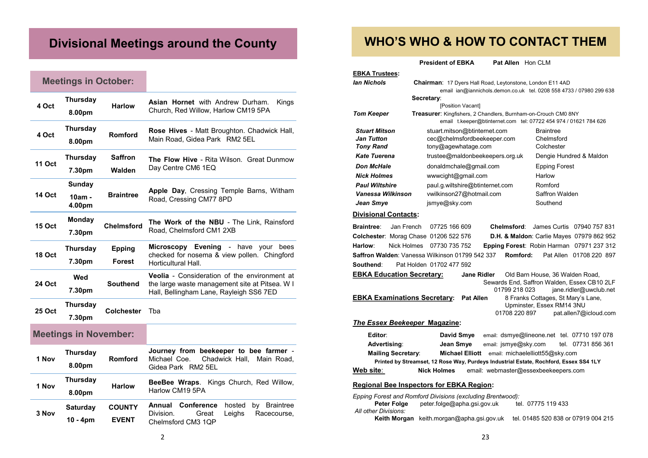## **Divisional Meetings around the County**

## **Meetings in October:**

| 4 Oct                        | <b>Thursday</b><br>8.00pm     | Harlow                         | <b>Asian Hornet</b> with Andrew Durham.<br>Kings<br>Church, Red Willow, Harlow CM19 5PA                                                          |  |
|------------------------------|-------------------------------|--------------------------------|--------------------------------------------------------------------------------------------------------------------------------------------------|--|
| 4 Oct                        | <b>Thursday</b><br>8.00pm     | Romford                        | Rose Hives - Matt Broughton. Chadwick Hall,<br>Main Road, Gidea Park RM2 5EL                                                                     |  |
| <b>11 Oct</b>                | <b>Thursday</b><br>7.30pm     | <b>Saffron</b><br>Walden       | <b>The Flow Hive - Rita Wilson. Great Dunmow</b><br>Day Centre CM6 1EQ                                                                           |  |
| <b>14 Oct</b>                | Sunday<br>10am -<br>4.00pm    | <b>Braintree</b>               | <b>Apple Day, Cressing Temple Barns, Witham</b><br>Road, Cressing CM77 8PD                                                                       |  |
| <b>15 Oct</b>                | Monday<br>7.30pm              | <b>Chelmsford</b>              | The Work of the NBU - The Link, Rainsford<br>Road, Chelmsford CM1 2XB                                                                            |  |
| <b>18 Oct</b>                | <b>Thursday</b><br>7.30pm     | <b>Epping</b><br><b>Forest</b> | Microscopy Evening<br>- have<br>vour<br>bees<br>checked for nosema & view pollen. Chingford<br>Horticultural Hall.                               |  |
| <b>24 Oct</b>                | Wed<br>7.30pm                 | <b>Southend</b>                | <b>Veolia</b> - Consideration of the environment at<br>the large waste management site at Pitsea. W I<br>Hall, Bellingham Lane, Rayleigh SS6 7ED |  |
| 25 Oct                       | <b>Thursday</b><br>7.30pm     | <b>Colchester</b>              | Tba                                                                                                                                              |  |
| <b>Meetings in November:</b> |                               |                                |                                                                                                                                                  |  |
| 1 Nov                        | <b>Thursday</b><br>8.00pm     | Romford                        | Journey from beekeeper to bee farmer -<br>Michael Coe.<br>Chadwick Hall,<br>Main Road,<br>Gidea Park RM2 5EL                                     |  |
| 1 Nov                        | <b>Thursday</b><br>8.00pm     | <b>Harlow</b>                  | BeeBee Wraps. Kings Church, Red Willow,<br>Harlow CM19 5PA                                                                                       |  |
| 3 Nov                        | <b>Saturday</b><br>$10 - 4pm$ | <b>COUNTY</b><br><b>EVENT</b>  | Annual Conference<br>hosted<br>by Braintree<br>Division.<br>Great<br>Leighs<br>Racecourse,<br>Chelmsford CM3 1QP                                 |  |

## **WHO'S WHO & HOW TO CONTACT THEM**

**President of EBKA Pat Allen** Hon CLM

| <b>EBKA Trustees:</b>                           |                                                                                                                                           |                                                    |
|-------------------------------------------------|-------------------------------------------------------------------------------------------------------------------------------------------|----------------------------------------------------|
| lan Nichols                                     | <b>Chairman:</b> 17 Dyers Hall Road, Leytonstone, London E11 4AD                                                                          |                                                    |
|                                                 | email ian@iannichols.demon.co.uk tel. 0208 558 4733 / 07980 299 638                                                                       |                                                    |
|                                                 | Secretary:                                                                                                                                |                                                    |
|                                                 | [Position Vacant]                                                                                                                         |                                                    |
| <b>Tom Keeper</b>                               | <b>Treasurer:</b> Kingfishers, 2 Chandlers, Burnham-on-Crouch CM0 8NY<br>email t.keeper@btinternet.com tel: 07722 454 974 / 01621 784 626 |                                                    |
| <b>Stuart Mitson</b>                            | stuart.mitson@btinternet.com                                                                                                              | <b>Braintree</b>                                   |
| <b>Jan Tutton</b>                               | cec@chelmsfordbeekeeper.com                                                                                                               | Chelmsford                                         |
| <b>Tony Rand</b>                                | tony@agewhatage.com                                                                                                                       | Colchester                                         |
| <b>Kate Tuerena</b>                             | trustee@maldonbeekeepers.org.uk                                                                                                           | Dengie Hundred & Maldon                            |
| <b>Don McHale</b>                               | donaldmchale@gmail.com                                                                                                                    | <b>Epping Forest</b>                               |
| <b>Nick Holmes</b>                              | www.cight@gmail.com                                                                                                                       | Harlow                                             |
| <b>Paul Wiltshire</b>                           | paul.g.wiltshire@btinternet.com                                                                                                           | Romford                                            |
| Vanessa Wilkinson                               | vwilkinson27@hotmail.com                                                                                                                  | Saffron Walden                                     |
| Jean Smye                                       | jsmye@sky.com                                                                                                                             | Southend                                           |
| <b>Divisional Contacts:</b>                     |                                                                                                                                           |                                                    |
| <b>Braintree:</b><br>Jan French                 | 07725 166 609<br>Chelmsford:                                                                                                              | James Curtis 07940 757 831                         |
| Colchester: Morag Chase 01206 522 576           |                                                                                                                                           | D.H. & Maldon: Carlie Mayes 07979 862 952          |
| Harlow:<br>Nick Holmes                          | 07730 735 752                                                                                                                             | Epping Forest: Robin Harman 07971 237 312          |
| Saffron Walden: Vanessa Wilkinson 01799 542 337 | Romford:                                                                                                                                  | Pat Allen 01708 220 897                            |
| Southend:                                       | Pat Holden 01702 477 592                                                                                                                  |                                                    |
| <b>EBKA Education Secretary:</b>                | <b>Jane Ridler</b>                                                                                                                        | Old Barn House, 36 Walden Road,                    |
|                                                 |                                                                                                                                           | Sewards End, Saffron Walden, Essex CB10 2LF        |
|                                                 | 01799 218 023                                                                                                                             | jane.ridler@uwclub.net                             |
| <b>EBKA Examinations Secretary:</b>             | <b>Pat Allen</b>                                                                                                                          | 8 Franks Cottages, St Mary's Lane,                 |
|                                                 | 01708 220 897                                                                                                                             | Upminster, Essex RM14 3NU<br>pat.allen7@icloud.com |
|                                                 |                                                                                                                                           |                                                    |
| The Essex Beekeeper Magazine:                   |                                                                                                                                           |                                                    |
| Editor:                                         | David Smye                                                                                                                                | email: dsmye@lineone.net tel. 07710 197 078        |
| <b>Advertising:</b>                             | Jean Smye<br>email: jsmye@sky.com                                                                                                         | tel. 07731 856 361                                 |
| <b>Mailing Secretary:</b>                       | <b>Michael Elliott</b>                                                                                                                    | email: michaelelliott55@sky.com                    |
|                                                 | Printed by Streamset, 12 Rose Way, Purdeys Industrial Estate, Rochford, Essex SS4 1LY                                                     |                                                    |
| Web site:                                       | <b>Nick Holmes</b><br>email: webmaster@essexbeekeepers.com                                                                                |                                                    |
| <b>Regional Bee Inspectors for EBKA Region:</b> |                                                                                                                                           |                                                    |
|                                                 | Epping Forest and Romford Divisions (excluding Brentwood):                                                                                |                                                    |
| Peter Folge<br>All other Divisions:             | peter folge@apha.gsi.gov.uk                                                                                                               | tel. 07775 119 433                                 |

**Keith Morgan** keith.morgan@apha.gsi.gov.uk tel. 01485 520 838 or 07919 004 215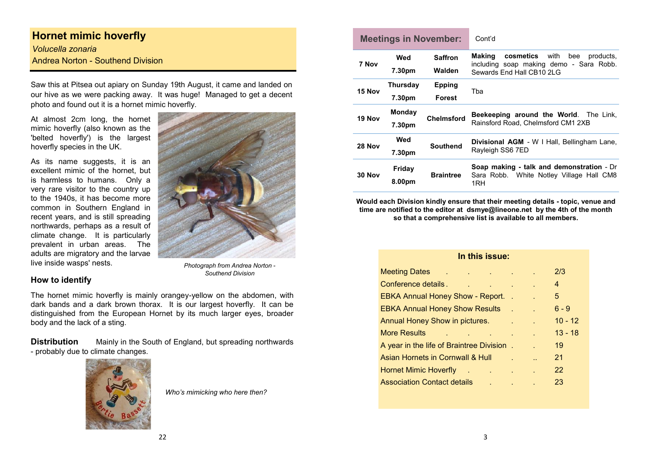## **Hornet mimic hoverfly**

*Volucella zonaria* Andrea Norton - Southend Division

Saw this at Pitsea out apiary on Sunday 19th August, it came and landed on our hive as we were packing away. It was huge! Managed to get a decent photo and found out it is a hornet mimic hoverfly.

At almost 2cm long, the hornet mimic hoverfly (also known as the 'belted hoverfly') is the largest hoverfly species in the UK.

As its name suggests, it is an excellent mimic of the hornet, but is harmless to humans. Only a very rare visitor to the country up to the 1940s, it has become more common in Southern England in recent years, and is still spreading northwards, perhaps as a result of climate change. It is particularly prevalent in urban areas. The adults are migratory and the larvae live inside wasps' nests.



*Photograph from Andrea Norton - Southend Division*

#### **How to identify**

The hornet mimic hoverfly is mainly orangey-yellow on the abdomen, with dark bands and a dark brown thorax. It is our largest hoverfly. It can be distinguished from the European Hornet by its much larger eyes, broader body and the lack of a sting.

**Distribution** Mainly in the South of England, but spreading northwards - probably due to climate changes.



*Who's mimicking who here then?*

| <b>Meetings in November:</b><br>Cont'd |        |                         |                                |                                                                                                                          |
|----------------------------------------|--------|-------------------------|--------------------------------|--------------------------------------------------------------------------------------------------------------------------|
|                                        | 7 Nov  | Wed<br>7.30pm           | <b>Saffron</b><br>Walden       | Making<br><b>cosmetics</b> with bee<br>products.<br>including soap making demo - Sara Robb.<br>Sewards End Hall CB10 2LG |
|                                        | 15 Nov | Thursday<br>7.30pm      | <b>Epping</b><br><b>Forest</b> | Tba                                                                                                                      |
|                                        | 19 Nov | <b>Monday</b><br>7.30pm | <b>Chelmsford</b>              | <b>Beekeeping around the World.</b> The Link,<br>Rainsford Road, Chelmsford CM1 2XB                                      |
|                                        | 28 Nov | Wed<br>7.30pm           | <b>Southend</b>                | <b>Divisional AGM</b> - W   Hall, Bellingham Lane,<br>Rayleigh SS6 7ED                                                   |
|                                        | 30 Nov | Friday<br>8.00pm        | <b>Braintree</b>               | Soap making - talk and demonstration - Dr<br>Sara Robb. White Notley Village Hall CM8<br>1RH                             |

**Would each Division kindly ensure that their meeting details - topic, venue and time are notified to the editor at dsmye@lineone.net by the 4th of the month so that a comprehensive list is available to all members.** 

### **In this issue:**

| <b>Meeting Dates</b><br><b>Contract</b><br><b>Carl Corporation</b> | <b>College</b> |    | 2/3       |
|--------------------------------------------------------------------|----------------|----|-----------|
| Conference details.                                                |                |    | 4         |
| <b>EBKA Annual Honey Show - Report.</b>                            |                |    | 5.        |
| <b>EBKA Annual Honey Show Results</b>                              |                |    | $6 - 9$   |
| <b>Annual Honey Show in pictures.</b>                              |                | ä. | $10 - 12$ |
| More Results                                                       |                |    | $13 - 18$ |
| A year in the life of Braintree Division                           |                |    | 19        |
| Asian Hornets in Cornwall & Hull                                   |                | ä. | 21        |
| <b>Hornet Mimic Hoverfly</b>                                       |                |    | 22        |
| <b>Association Contact details</b>                                 |                |    | 23        |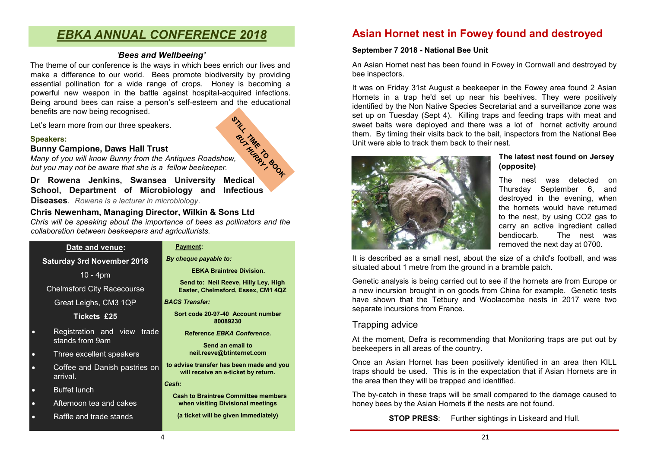## *EBKA ANNUAL CONFERENCE 2018*

#### *'Bees and Wellbeeing'*

The theme of our conference is the ways in which bees enrich our lives and make a difference to our world. Bees promote biodiversity by providing essential pollination for a wide range of crops. Honey is becoming a powerful new weapon in the battle against hospita**l**-acquired infections. Being around bees can raise a person's self-esteem and the educational benefits are now being recognised. STILL

Let's learn more from our three speakers.

#### **Speakers:**

#### **Bunny Campione, Daws Hall Trust**

Speakers:<br>
Bunny Campione, Daws Hall Trust<br>
Many of you will know Bunny from the Antiques Roadshow, *ing to but you may not be aware that she is a fellow beekeeper.* 

**Dr Rowena Jenkins, Swansea University Medical School, Department of Microbiology and Infectious Diseases**. *Rowena is a lecturer in microbiology*.

#### **Chris Newenham, Managing Director, Wilkin & Sons Ltd**

*Chris will be speaking about the importance of bees as pollinators and the collaboration between beekeepers and agriculturists.*

|           | Date and venue:                                | Paym               |
|-----------|------------------------------------------------|--------------------|
|           | <b>Saturday 3rd November 2018</b>              | By chequ           |
|           | $10 - 4pm$                                     |                    |
|           | <b>Chelmsford City Racecourse</b>              | Sen<br><b>East</b> |
|           | Great Leighs, CM3 1QP                          | <b>BACS Tra</b>    |
|           | <b>Tickets £25</b>                             | Sort c             |
| $\bullet$ | Registration and view trade<br>stands from 9am | Re                 |
| $\bullet$ | Three excellent speakers                       | n                  |
| $\bullet$ | Coffee and Danish pastries on<br>arrival.      | to advise<br>will  |
| $\bullet$ | <b>Buffet lunch</b>                            | Cash:              |
| $\bullet$ | Afternoon tea and cakes                        | Cash t<br>wher     |
| $\bullet$ | Raffle and trade stands                        | (a tic             |

#### ent:

 $\mathbf{p}$  payable to:

**EBKA Braintree Division.** 

**Send to: Neil Reeve, Hilly Ley, High Easter, Chelmsford, Essex, CM1 4QZ** 

nsfer:

**Sort code 20-97-40 Account number 80089230**

**Reference** *EBKA Conference***.**

**Send an email to neil.reeve@btinternet.com** 

transfer has been made and you **will receive an e-ticket by return.**

**Cash to Braintree Committee members when visiting Divisional meetings** 

**(a ticket will be given immediately)**

## **Asian Hornet nest in Fowey found and destroyed**

#### **September 7 2018 - National Bee Unit**

An Asian Hornet nest has been found in Fowey in Cornwall and destroyed by bee inspectors.

It was on Friday 31st August a beekeeper in the Fowey area found 2 Asian Hornets in a trap he'd set up near his beehives. They were positively identified by the Non Native Species Secretariat and a surveillance zone was set up on Tuesday (Sept 4). Killing traps and feeding traps with meat and sweet baits were deployed and there was a lot of hornet activity around them. By timing their visits back to the bait, inspectors from the National Bee Unit were able to track them back to their nest.



#### **The latest nest found on Jersey (opposite)**

The nest was detected on Thursday September 6, and destroyed in the evening, when the hornets would have returned to the nest, by using CO2 gas to carry an active ingredient called bendiocarb. The nest was removed the next day at 0700.

It is described as a small nest, about the size of a child's football, and was situated about 1 metre from the ground in a bramble patch.

Genetic analysis is being carried out to see if the hornets are from Europe or a new incursion brought in on goods from China for example. Genetic tests have shown that the Tetbury and Woolacombe nests in 2017 were two separate incursions from France.

### Trapping advice

At the moment, Defra is recommending that Monitoring traps are put out by beekeepers in all areas of the country.

Once an Asian Hornet has been positively identified in an area then KILL traps should be used. This is in the expectation that if Asian Hornets are in the area then they will be trapped and identified.

The by-catch in these traps will be small compared to the damage caused to honey bees by the Asian Hornets if the nests are not found.

**STOP PRESS:** Further sightings in Liskeard and Hull.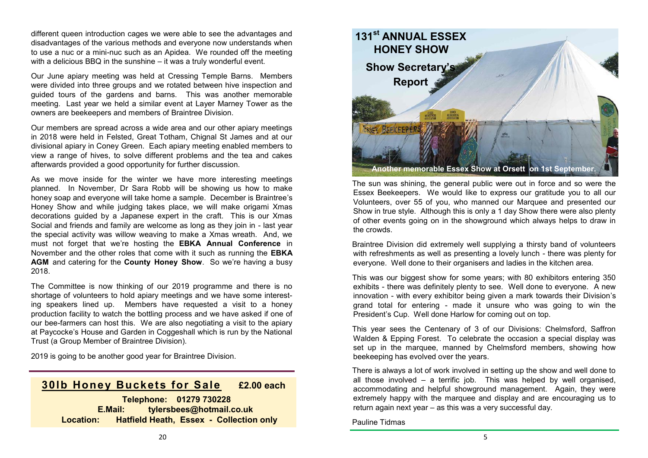different queen introduction cages we were able to see the advantages and disadvantages of the various methods and everyone now understands when to use a nuc or a mini-nuc such as an Apidea. We rounded off the meeting with a delicious BBQ in the sunshine – it was a truly wonderful event.

Our June apiary meeting was held at Cressing Temple Barns. Members were divided into three groups and we rotated between hive inspection and guided tours of the gardens and barns. This was another memorable meeting. Last year we held a similar event at Layer Marney Tower as the owners are beekeepers and members of Braintree Division.

Our members are spread across a wide area and our other apiary meetings in 2018 were held in Felsted, Great Totham, Chignal St James and at our divisional apiary in Coney Green. Each apiary meeting enabled members to view a range of hives, to solve different problems and the tea and cakes afterwards provided a good opportunity for further discussion.

As we move inside for the winter we have more interesting meetings planned. In November, Dr Sara Robb will be showing us how to make honey soap and everyone will take home a sample. December is Braintree's Honey Show and while judging takes place, we will make origami Xmas decorations guided by a Japanese expert in the craft. This is our Xmas Social and friends and family are welcome as long as they join in - last year the special activity was willow weaving to make a Xmas wreath. And, we must not forget that we're hosting the **EBKA Annual Conference** in November and the other roles that come with it such as running the **EBKA AGM** and catering for the **County Honey Show**. So we're having a busy 2018.

The Committee is now thinking of our 2019 programme and there is no shortage of volunteers to hold apiary meetings and we have some interesting speakers lined up. Members have requested a visit to a honey production facility to watch the bottling process and we have asked if one of our bee-farmers can host this. We are also negotiating a visit to the apiary at Paycocke's House and Garden in Coggeshall which is run by the National Trust (a Group Member of Braintree Division).

2019 is going to be another good year for Braintree Division.

## **30lb Honey Buckets for Sale £2.00 each**

 **Telephone: 01279 730228 E.Mail: tylersbees@hotmail.co.uk Location: Hatfield Heath, Essex - Collection only**



The sun was shining, the general public were out in force and so were the Essex Beekeepers. We would like to express our gratitude you to all our Volunteers, over 55 of you, who manned our Marquee and presented our Show in true style. Although this is only a 1 day Show there were also plenty of other events going on in the showground which always helps to draw in the crowds.

Braintree Division did extremely well supplying a thirsty band of volunteers with refreshments as well as presenting a lovely lunch - there was plenty for everyone. Well done to their organisers and ladies in the kitchen area.

This was our biggest show for some years; with 80 exhibitors entering 350 exhibits - there was definitely plenty to see. Well done to everyone. A new innovation - with every exhibitor being given a mark towards their Division's grand total for entering - made it unsure who was going to win the President's Cup. Well done Harlow for coming out on top.

This year sees the Centenary of 3 of our Divisions: Chelmsford, Saffron Walden & Epping Forest. To celebrate the occasion a special display was set up in the marquee, manned by Chelmsford members, showing how beekeeping has evolved over the years.

There is always a lot of work involved in setting up the show and well done to all those involved – a terrific job. This was helped by well organised, accommodating and helpful showground management. Again, they were extremely happy with the marquee and display and are encouraging us to return again next year – as this was a very successful day.

Pauline Tidmas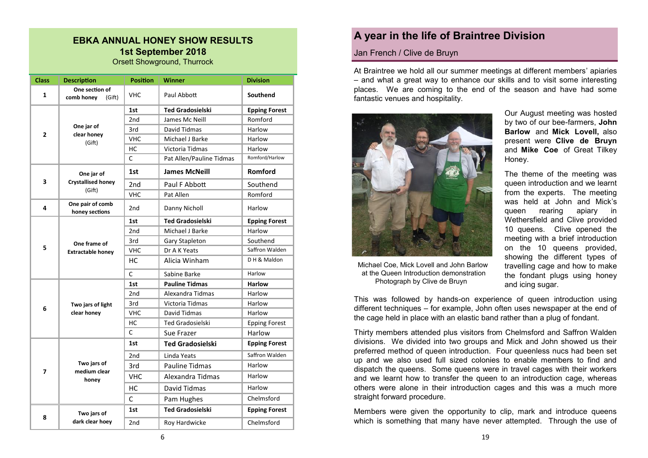#### **EBKA ANNUAL HONEY SHOW RESULTS 1st September 2018** Orsett Showground, Thurrock

| <b>Class</b> | <b>Description</b>                     | <b>Position</b> | <b>Winner</b>            | <b>Division</b>      |
|--------------|----------------------------------------|-----------------|--------------------------|----------------------|
| 1            | One section of<br>comb honey<br>(Gift) | <b>VHC</b>      | Paul Abbott              | Southend             |
|              |                                        | 1st             | <b>Ted Gradosielski</b>  | <b>Epping Forest</b> |
|              |                                        | 2 <sub>nd</sub> | James Mc Neill           | Romford              |
| 2            | One jar of<br>clear honey              | 3rd             | David Tidmas             | Harlow               |
|              | (Gift)                                 | <b>VHC</b>      | Michael J Barke          | Harlow               |
|              |                                        | НC              | Victoria Tidmas          | Harlow               |
|              |                                        | $\mathsf{C}$    | Pat Allen/Pauline Tidmas | Romford/Harlow       |
|              | One jar of                             | 1st             | <b>James McNeill</b>     | Romford              |
| 3            | <b>Crystallised honey</b>              | 2nd             | Paul F Abbott            | Southend             |
|              | (Gift)                                 | <b>VHC</b>      | Pat Allen                | Romford              |
| 4            | One pair of comb<br>honey sections     | 2 <sub>nd</sub> | Danny Nicholl            | Harlow               |
|              |                                        | 1st             | <b>Ted Gradosielski</b>  | <b>Epping Forest</b> |
|              |                                        | 2 <sub>nd</sub> | Michael J Barke          | Harlow               |
|              | One frame of                           | 3rd             | Gary Stapleton           | Southend             |
| 5            | <b>Extractable honey</b>               | <b>VHC</b>      | Dr A K Yeats             | Saffron Walden       |
|              |                                        | HC              | Alicia Winham            | DH & Maldon          |
|              |                                        | C               | Sabine Barke             | Harlow               |
|              |                                        | 1st             | <b>Pauline Tidmas</b>    | <b>Harlow</b>        |
|              |                                        | 2 <sub>nd</sub> | Alexandra Tidmas         | Harlow               |
| 6            | Two jars of light                      | 3rd             | Victoria Tidmas          | Harlow               |
|              | clear honey                            | <b>VHC</b>      | <b>David Tidmas</b>      | Harlow               |
|              |                                        | нс              | <b>Ted Gradosielski</b>  | <b>Epping Forest</b> |
|              |                                        | $\mathsf{C}$    | Sue Frazer               | Harlow               |
|              |                                        | 1st             | <b>Ted Gradosielski</b>  | <b>Epping Forest</b> |
|              |                                        | 2 <sub>nd</sub> | Linda Yeats              | Saffron Walden       |
|              | Two jars of                            | 3rd             | <b>Pauline Tidmas</b>    | Harlow               |
| 7            | medium clear<br>honey                  | VHC             | Alexandra Tidmas         | Harlow               |
|              |                                        | HC              | David Tidmas             | Harlow               |
|              |                                        | С               | Pam Hughes               | Chelmsford           |
|              | Two jars of                            | 1st             | <b>Ted Gradosielski</b>  | <b>Epping Forest</b> |
| 8            | dark clear hoey                        | 2nd             | Roy Hardwicke            | Chelmsford           |

## **A year in the life of Braintree Division**

#### Jan French / Clive de Bruyn

At Braintree we hold all our summer meetings at different members' apiaries – and what a great way to enhance our skills and to visit some interesting places. We are coming to the end of the season and have had some fantastic venues and hospitality.



 Michael Coe, Mick Lovell and John Barlow at the Queen Introduction demonstration Photograph by Clive de Bruyn

Our August meeting was hosted by two of our bee-farmers, **John Barlow** and **Mick Lovell,** also present were **Clive de Bruyn**  and **Mike Coe** of Great Tilkey Honey.

The theme of the meeting was queen introduction and we learnt from the experts. The meeting was held at John and Mick's queen rearing apiary in Wethersfield and Clive provided 10 queens. Clive opened the meeting with a brief introduction on the 10 queens provided, showing the different types of travelling cage and how to make the fondant plugs using honey and icing sugar.

This was followed by hands-on experience of queen introduction using different techniques – for example, John often uses newspaper at the end of the cage held in place with an elastic band rather than a plug of fondant.

Thirty members attended plus visitors from Chelmsford and Saffron Walden divisions. We divided into two groups and Mick and John showed us their preferred method of queen introduction. Four queenless nucs had been set up and we also used full sized colonies to enable members to find and dispatch the queens. Some queens were in travel cages with their workers and we learnt how to transfer the queen to an introduction cage, whereas others were alone in their introduction cages and this was a much more straight forward procedure.

Members were given the opportunity to clip, mark and introduce queens which is something that many have never attempted. Through the use of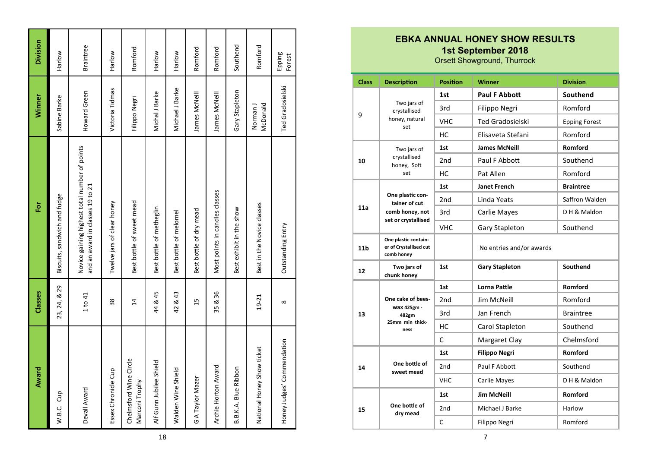| Award                                    | Classes        | Ēōr                                                                               | Winner               | Division         |
|------------------------------------------|----------------|-----------------------------------------------------------------------------------|----------------------|------------------|
| W.B.C. Cup                               | 23, 24, & 29   | Biscuits, sandwich and fudge                                                      | Sabine Barke         | Harlow           |
| Devall Award                             | 1 to 41        | Novice gaining highest total number of points<br>and an award in classes 19 to 21 | Howard Green         | <b>Braintree</b> |
| Essex Chronicle Cup                      | 38             | Twelve jars of clear honey                                                        | Victoria Tidmas      | Harlow           |
| Chelmsford Wine Circle<br>Marconi Trophy | $\overline{4}$ | Best bottle of sweet mead                                                         | Filippo Negri        | Romford          |
| Alf Gunn Jubilee Shield                  | 44 & 45        | Best bottle of metheglin                                                          | Michal J Barke       | Harlow           |
| Walden Wine Shield                       | 42 & 43        | Best bottle of melomel                                                            | Michael J Barke      | Harlow           |
| G A Taylor Mazer                         | 15             | Best bottle of dry mead                                                           | James McNeill        | Romford          |
| Archie Horton Award                      | 35 & 36        | Most points in candles classes                                                    | James McNeill        | Romford          |
| B.B.K.A. Blue Ribbon                     |                | Best exhibit in the show                                                          | Gary Stapleton       | Southend         |
| National Honey Show ticket               | $19 - 21$      | Best in the Novice classes                                                        | McDonald<br>Norman J | Romford          |
| Honey Judges' Commendation               | $\infty$       | Outstanding Entry                                                                 | Ted Gradosielski     | Epping<br>Forest |

| <b>Class</b>        | <b>Description</b>                                           | <b>Position</b> | <b>Winner</b>            | <b>Division</b>      |
|---------------------|--------------------------------------------------------------|-----------------|--------------------------|----------------------|
|                     |                                                              | 1st             | <b>Paul F Abbott</b>     | Southend             |
|                     | Two jars of<br>crystallised                                  | 3rd             | Filippo Negri            | Romford              |
| 9                   | honey, natural<br>set                                        | <b>VHC</b>      | <b>Ted Gradosielski</b>  | <b>Epping Forest</b> |
|                     |                                                              | HC              | Elisaveta Stefani        | Romford              |
|                     | Two jars of                                                  | 1st             | <b>James McNeill</b>     | Romford              |
| 10                  | crystallised                                                 | 2 <sub>nd</sub> | Paul F Abbott            | Southend             |
| honey, Soft<br>set  | HC                                                           | Pat Allen       | Romford                  |                      |
|                     |                                                              | 1st             | <b>Janet French</b>      | <b>Braintree</b>     |
|                     | One plastic con-<br>tainer of cut                            | 2 <sub>nd</sub> | Linda Yeats              | Saffron Walden       |
| 11a                 | comb honey, not                                              | 3rd             | Carlie Mayes             | D H & Maldon         |
| set or crystallised | <b>VHC</b>                                                   | Gary Stapleton  | Southend                 |                      |
| 11 <sub>b</sub>     | One plastic contain-<br>er of Crystallised cut<br>comb honey |                 | No entries and/or awards |                      |
| 12                  | Two jars of<br>chunk honey                                   | 1st             | <b>Gary Stapleton</b>    | Southend             |
|                     | One cake of bees-                                            | 1st             | <b>Lorna Pattle</b>      | Romford              |
|                     |                                                              | 2nd             | Jim McNeill              | Romford              |
| 13                  | <b>wax 425gm -</b><br>482gm                                  | 3rd             | Jan French               | <b>Braintree</b>     |
|                     | 25mm min thick-<br>ness                                      | НC              | Carol Stapleton          | Southend             |
|                     |                                                              | C               | Margaret Clay            | Chelmsford           |
|                     | One bottle of<br>sweet mead                                  | 1st             | <b>Filippo Negri</b>     | Romford              |
| 14                  |                                                              | 2nd             | Paul F Abbott            | Southend             |
|                     |                                                              | <b>VHC</b>      | Carlie Mayes             | D H & Maldon         |
|                     |                                                              | 1st             | <b>Jim McNeill</b>       | Romford              |
| 15                  | One bottle of<br>dry mead                                    | 2 <sub>nd</sub> | Michael J Barke          | Harlow               |
|                     |                                                              | C               | Filippo Negri            | Romford              |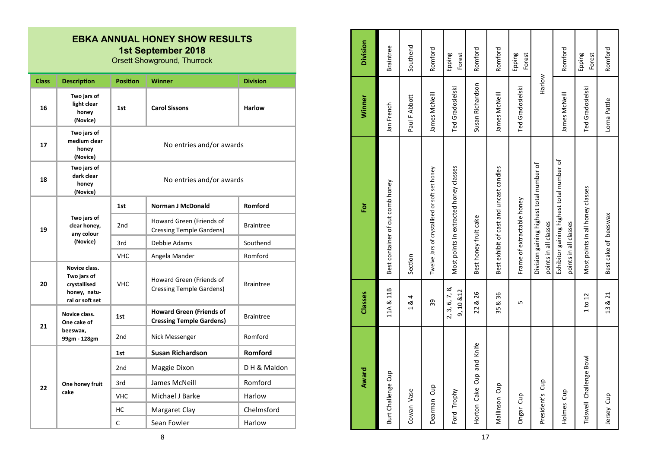| <b>Class</b>                                | <b>Description</b>                                                              | <b>Position</b> | <b>Winner</b>                                                      | <b>Division</b>  |
|---------------------------------------------|---------------------------------------------------------------------------------|-----------------|--------------------------------------------------------------------|------------------|
| 16                                          | Two jars of<br>light clear<br>honey<br>(Novice)                                 | 1st             | <b>Carol Sissons</b>                                               | <b>Harlow</b>    |
| 17                                          | Two jars of<br>medium clear<br>honey<br>(Novice)                                |                 | No entries and/or awards                                           |                  |
| 18                                          | Two jars of<br>dark clear<br>honey<br>(Novice)                                  |                 | No entries and/or awards                                           |                  |
|                                             |                                                                                 | 1st             | <b>Norman J McDonald</b>                                           | Romford          |
| Two jars of<br>19<br>any colour<br>(Novice) | clear honey,                                                                    | 2 <sub>nd</sub> | Howard Green (Friends of<br><b>Cressing Temple Gardens)</b>        | <b>Braintree</b> |
|                                             |                                                                                 | 3rd             | Debbie Adams                                                       | Southend         |
|                                             |                                                                                 | <b>VHC</b>      | Angela Mander                                                      | Romford          |
| 20                                          | Novice class.<br>Two jars of<br>crystallised<br>honey, natu-<br>ral or soft set | <b>VHC</b>      | Howard Green (Friends of<br><b>Cressing Temple Gardens)</b>        | <b>Braintree</b> |
|                                             | Novice class.<br>One cake of                                                    | 1st             | <b>Howard Green (Friends of</b><br><b>Cressing Temple Gardens)</b> | <b>Braintree</b> |
| 21                                          | beeswax,<br>99gm - 128gm                                                        | 2 <sub>nd</sub> | Nick Messenger                                                     | Romford          |
|                                             |                                                                                 | 1st             | <b>Susan Richardson</b>                                            | Romford          |
|                                             |                                                                                 | 2 <sub>nd</sub> | Maggie Dixon                                                       | DH & Maldon      |
| 22                                          | One honey fruit                                                                 | 3rd             | James McNeill                                                      | Romford          |
|                                             | cake                                                                            | <b>VHC</b>      | Michael J Barke                                                    | Harlow           |
|                                             |                                                                                 | НC              | Margaret Clay                                                      | Chelmsford       |
|                                             |                                                                                 | Ċ               | Sean Fowler                                                        | Harlow           |

| Award                     | Classes                    | ă                                                                  | Winner           | Division         |
|---------------------------|----------------------------|--------------------------------------------------------------------|------------------|------------------|
| Burt Challenge Cup        | 11A & 11B                  | Best container of cut comb honey                                   | Jan French       | Braintree        |
| Cowan Vase                | 184                        | Section                                                            | Paul F Abbott    | Southend         |
| Dearman Cup               | 39                         | Twelve Jars of crystallised or soft set honey                      | James McNeill    | Romford          |
| Ford Trophy               | 2, 3, 6, 7, 8,<br>9,10 &12 | Most points in extracted honey classes                             | Ted Gradosielski | Epping<br>Forest |
| Horton Cake Cup and Knife | 22 & 26                    | Best honey fruit cake                                              | Susan Richardson | Romford          |
| Mallinson Cup             | 35 & 36                    | Best exhibit of cast and uncast candles                            | James McNeill    | Romford          |
| Ongar Cup                 | Б                          | Frame of extractable honey                                         | Ted Gradosielski | Epping<br>Forest |
| President's Cup           |                            | Division gaining highest total number of<br>points in all classes  | Harlow           |                  |
| Holmes Cup                |                            | Exhibitor gaining highest total number of<br>points in all classes | James McNeill    | Romford          |
| Tidswell Challenge Bowl   | 1 to 12                    | Most points in all honey classes                                   | Ted Gradosielski | Epping<br>Forest |
| Jersey Cup                | 13 & 21                    | Best cake of beeswax                                               | Lorna Pattle     | Romford          |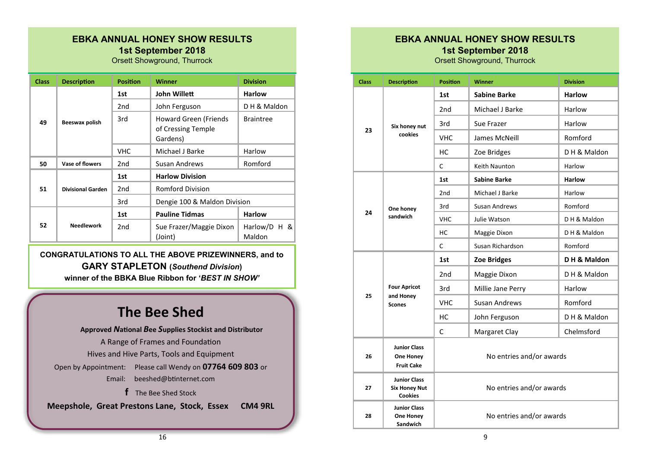Orsett Showground, Thurrock

| <b>Class</b> | <b>Description</b>       | <b>Position</b> | <b>Winner</b>                                                  | <b>Division</b>          |
|--------------|--------------------------|-----------------|----------------------------------------------------------------|--------------------------|
|              |                          | 1st             | John Willett                                                   | <b>Harlow</b>            |
|              |                          | 2nd             | John Ferguson                                                  | DH & Maldon              |
| 49           | Beeswax polish           | 3rd             | <b>Howard Green (Friends</b><br>of Cressing Temple<br>Gardens) | <b>Braintree</b>         |
|              |                          | <b>VHC</b>      | Michael J Barke                                                | Harlow                   |
| 50           | Vase of flowers          | 2nd             | Susan Andrews                                                  | Romford                  |
|              |                          | 1st             | <b>Harlow Division</b>                                         |                          |
| 51           | <b>Divisional Garden</b> | 2 <sub>nd</sub> | <b>Romford Division</b>                                        |                          |
|              |                          | 3rd             | Dengie 100 & Maldon Division                                   |                          |
|              |                          | 1st             | <b>Pauline Tidmas</b>                                          | <b>Harlow</b>            |
| 52           | <b>Needlework</b>        | 2nd             | Sue Frazer/Maggie Dixon<br>(Joint)                             | Harlow/D $H$ &<br>Maldon |

**CONGRATULATIONS TO ALL THE ABOVE PRIZEWINNERS, and to GARY STAPLETON (***Southend Division***) winner of the BBKA Blue Ribbon for '***BEST IN SHOW'*

## **The Bee Shed**

**Approved** *N***ational** *B***ee** *S***upplies Stockist and Distributor** A Range of Frames and Foundation Hives and Hive Parts, Tools and Equipment Open by Appointment: Please call Wendy on **07764 609 803** or Email: [beeshed@btinternet.com](mailto:beeshed@btinternet.com)  **f** The Bee Shed Stock

**Meepshole, Great Prestons Lane, Stock, Essex CM4 9RL**

### **EBKA ANNUAL HONEY SHOW RESULTS 1st September 2018**

| <b>Class</b> | <b>Description</b>                                            | <b>Position</b>          | <b>Winner</b>            | <b>Division</b> |  |
|--------------|---------------------------------------------------------------|--------------------------|--------------------------|-----------------|--|
|              |                                                               | 1st                      | <b>Sabine Barke</b>      | <b>Harlow</b>   |  |
|              |                                                               | 2 <sub>nd</sub>          | Michael J Barke          | Harlow          |  |
| 23           | Six honey nut                                                 | 3rd                      | Sue Frazer               | Harlow          |  |
|              | cookies                                                       | <b>VHC</b>               | James McNeill            | Romford         |  |
|              |                                                               | НC                       | Zoe Bridges              | DH & Maldon     |  |
|              |                                                               | C                        | Keith Naunton            | Harlow          |  |
|              |                                                               | 1st                      | <b>Sabine Barke</b>      | <b>Harlow</b>   |  |
|              |                                                               | 2 <sub>nd</sub>          | Michael J Barke          | Harlow          |  |
| 24           | One honey                                                     | 3rd                      | <b>Susan Andrews</b>     | Romford         |  |
|              | sandwich                                                      | <b>VHC</b>               | Julie Watson             | D H & Maldon    |  |
|              |                                                               | нc                       | Maggie Dixon             | D H & Maldon    |  |
|              |                                                               | C                        | Susan Richardson         | Romford         |  |
|              |                                                               | 1st                      | <b>Zoe Bridges</b>       | DH & Maldon     |  |
|              |                                                               | 2 <sub>nd</sub>          | Maggie Dixon             | DH & Maldon     |  |
|              | <b>Four Apricot</b>                                           | 3rd                      | Millie Jane Perry        | Harlow          |  |
| 25           | and Honey<br><b>Scones</b>                                    | <b>VHC</b>               | <b>Susan Andrews</b>     | Romford         |  |
|              |                                                               | HС                       | John Ferguson            | DH & Maldon     |  |
|              |                                                               | C                        | Margaret Clay            | Chelmsford      |  |
| 26           | <b>Junior Class</b><br>One Honey<br><b>Fruit Cake</b>         | No entries and/or awards |                          |                 |  |
| 27           | <b>Junior Class</b><br><b>Six Honey Nut</b><br><b>Cookies</b> |                          | No entries and/or awards |                 |  |
| 28           | <b>Junior Class</b><br>One Honey<br>Sandwich                  |                          | No entries and/or awards |                 |  |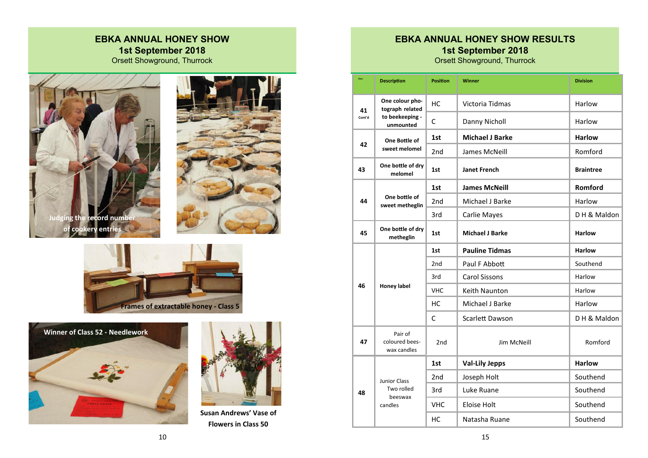### **EBKA ANNUAL HONEY SHOW 1st September 2018** Orsett Showground, Thurrock











**Susan Andrews' Vase of Flowers in Class 50**

## **EBKA ANNUAL HONEY SHOW RESULTS 1st September 2018**

| Class        | <b>Description</b>                                                 | <b>Position</b> | <b>Winner</b>          | <b>Division</b>  |
|--------------|--------------------------------------------------------------------|-----------------|------------------------|------------------|
|              |                                                                    |                 |                        |                  |
| 41<br>Cont'd | One colour pho-<br>tograph related<br>to beekeeping -<br>unmounted | НC              | Victoria Tidmas        | Harlow           |
|              |                                                                    | $\mathsf{C}$    | Danny Nicholl          | Harlow           |
| 42           | One Bottle of<br>sweet melomel                                     | 1st             | <b>Michael J Barke</b> | <b>Harlow</b>    |
|              |                                                                    | 2nd             | James McNeill          | Romford          |
| 43           | One bottle of dry<br>melomel                                       | 1st             | <b>Janet French</b>    | <b>Braintree</b> |
| 44           | One bottle of<br>sweet metheglin                                   | 1st             | <b>James McNeill</b>   | Romford          |
|              |                                                                    | 2 <sub>nd</sub> | Michael J Barke        | Harlow           |
|              |                                                                    | 3rd             | Carlie Mayes           | DH & Maldon      |
| 45           | One bottle of dry<br>metheglin                                     | 1st             | <b>Michael J Barke</b> | <b>Harlow</b>    |
| 46           | <b>Honey label</b>                                                 | 1st             | <b>Pauline Tidmas</b>  | <b>Harlow</b>    |
|              |                                                                    | 2 <sub>nd</sub> | Paul F Abbott          | Southend         |
|              |                                                                    | 3rd             | <b>Carol Sissons</b>   | Harlow           |
|              |                                                                    | <b>VHC</b>      | <b>Keith Naunton</b>   | Harlow           |
|              |                                                                    | НC              | Michael J Barke        | Harlow           |
|              |                                                                    | $\mathsf{C}$    | <b>Scarlett Dawson</b> | DH & Maldon      |
| 47           | Pair of<br>coloured bees-<br>wax candles                           | 2 <sub>nd</sub> | Jim McNeill            | Romford          |
| 48           | <b>Junior Class</b><br>Two rolled<br>beeswax<br>candles            | 1st             | <b>Val-Lily Jepps</b>  | <b>Harlow</b>    |
|              |                                                                    | 2 <sub>nd</sub> | Joseph Holt            | Southend         |
|              |                                                                    | 3rd             | Luke Ruane             | Southend         |
|              |                                                                    | <b>VHC</b>      | <b>Eloise Holt</b>     | Southend         |
|              |                                                                    | HC              | Natasha Ruane          | Southend         |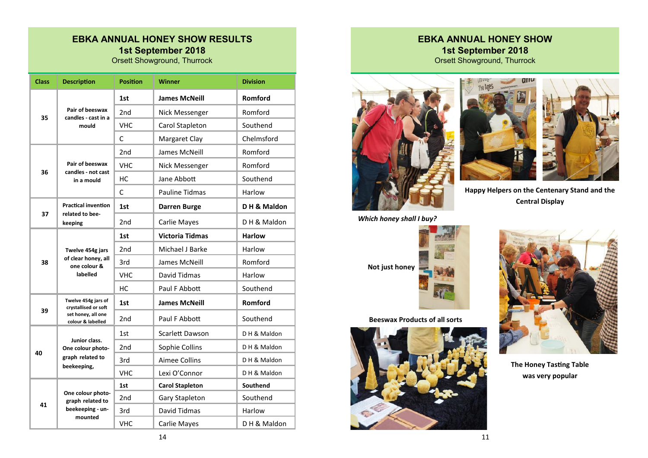Orsett Showground, Thurrock

| <b>Class</b> | <b>Description</b>                                                                     | <b>Position</b> | Winner                 | <b>Division</b> |
|--------------|----------------------------------------------------------------------------------------|-----------------|------------------------|-----------------|
|              | Pair of beeswax<br>candles - cast in a<br>mould                                        | 1st             | <b>James McNeill</b>   | Romford         |
| 35           |                                                                                        | 2 <sub>nd</sub> | Nick Messenger         | Romford         |
|              |                                                                                        | <b>VHC</b>      | Carol Stapleton        | Southend        |
|              |                                                                                        | C               | Margaret Clay          | Chelmsford      |
|              | Pair of beeswax<br>candles - not cast<br>in a mould                                    | 2nd             | James McNeill          | Romford         |
|              |                                                                                        | <b>VHC</b>      | Nick Messenger         | Romford         |
| 36           |                                                                                        | HC              | Jane Abbott            | Southend        |
|              |                                                                                        | C               | <b>Pauline Tidmas</b>  | Harlow          |
| 37           | <b>Practical invention</b><br>related to bee-<br>keeping                               | 1st             | <b>Darren Burge</b>    | DH & Maldon     |
|              |                                                                                        | 2nd             | Carlie Mayes           | DH & Maldon     |
|              | Twelve 454g jars<br>of clear honey, all<br>one colour &<br>labelled                    | 1st             | <b>Victoria Tidmas</b> | <b>Harlow</b>   |
|              |                                                                                        | 2 <sub>nd</sub> | Michael J Barke        | Harlow          |
| 38           |                                                                                        | 3rd             | James McNeill          | Romford         |
|              |                                                                                        | <b>VHC</b>      | David Tidmas           | Harlow          |
|              |                                                                                        | НC              | Paul F Abbott          | Southend        |
|              | Twelve 454g jars of<br>crystallised or soft<br>set honey, all one<br>colour & labelled | 1st             | <b>James McNeill</b>   | Romford         |
| 39           |                                                                                        | 2 <sub>nd</sub> | Paul F Abbott          | Southend        |
|              | Junior class.<br>One colour photo-<br>graph related to<br>beekeeping,                  | 1st             | <b>Scarlett Dawson</b> | DH & Maldon     |
| 40           |                                                                                        | 2 <sub>nd</sub> | Sophie Collins         | DH & Maldon     |
|              |                                                                                        | 3rd             | <b>Aimee Collins</b>   | DH & Maldon     |
|              |                                                                                        | VHC             | Lexi O'Connor          | D H & Maldon    |
|              | One colour photo-<br>graph related to<br>beekeeping - un-<br>mounted                   | 1st             | <b>Carol Stapleton</b> | Southend        |
| 41           |                                                                                        | 2 <sub>nd</sub> | Gary Stapleton         | Southend        |
|              |                                                                                        | 3rd             | David Tidmas           | Harlow          |
|              |                                                                                        | <b>VHC</b>      | <b>Carlie Mayes</b>    | DH & Maldon     |

#### **EBKA ANNUAL HONEY SHOW 1st September 2018** Orsett Showground, Thurrock







**Happy Helpers on the Centenary Stand and the Central Display**



**Beeswax Products of all sorts**





**The Honey Tasting Table was very popular**

11